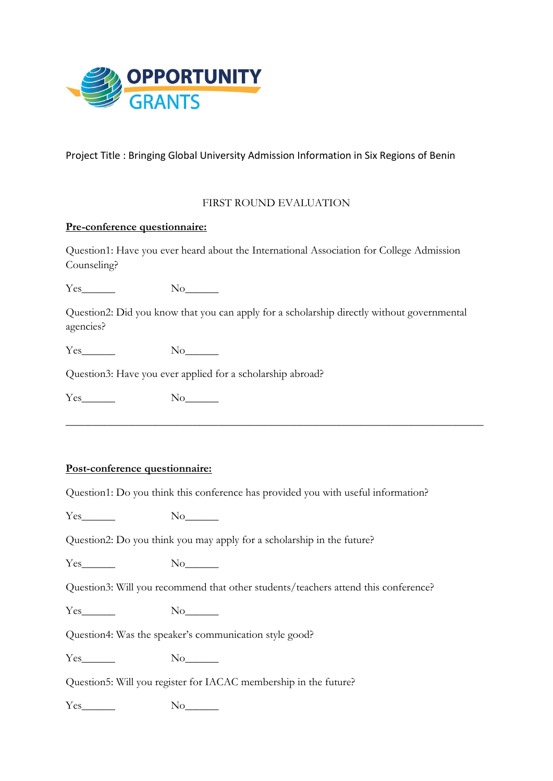

# Project Title : Bringing Global University Admission Information in Six Regions of Benin

## FIRST ROUND EVALUATION

## **Pre-conference questionnaire:**

Question1: Have you ever heard about the International Association for College Admission Counseling?

Yes\_\_\_\_\_\_ No\_\_\_\_\_\_

Question2: Did you know that you can apply for a scholarship directly without governmental agencies?

\_\_\_\_\_\_\_\_\_\_\_\_\_\_\_\_\_\_\_\_\_\_\_\_\_\_\_\_\_\_\_\_\_\_\_\_\_\_\_\_\_\_\_\_\_\_\_\_\_\_\_\_\_\_\_\_\_\_\_\_\_\_\_\_\_\_\_\_\_\_\_\_\_\_\_

Yes\_\_\_\_\_\_ No\_\_\_\_\_\_

Question3: Have you ever applied for a scholarship abroad?

Yes\_\_\_\_\_\_ No\_\_\_\_\_\_

## **Post-conference questionnaire:**

Question1: Do you think this conference has provided you with useful information?

Yes No

Question2: Do you think you may apply for a scholarship in the future?

Yes No

Question3: Will you recommend that other students/teachers attend this conference?

Yes\_\_\_\_\_\_ No\_\_\_\_\_\_

Question4: Was the speaker's communication style good?

Yes No

Question5: Will you register for IACAC membership in the future?

Yes No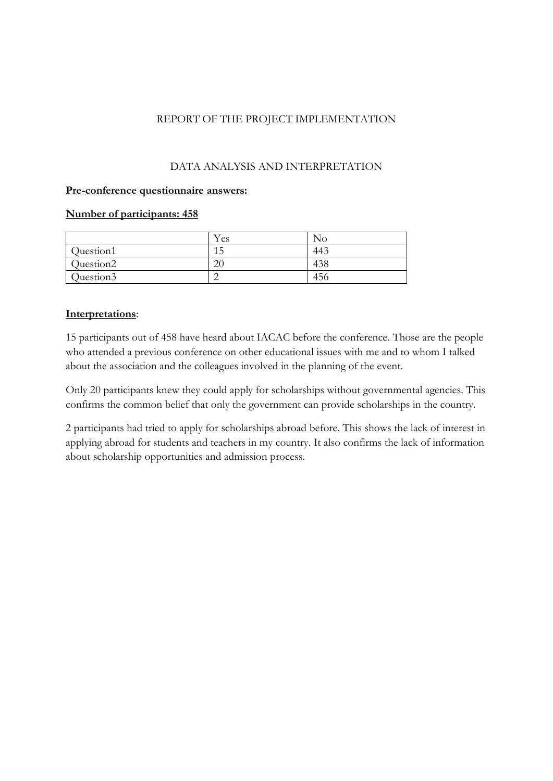## REPORT OF THE PROJECT IMPLEMENTATION

## DATA ANALYSIS AND INTERPRETATION

#### **Pre-conference questionnaire answers:**

## **Number of participants: 458**

|           | Yes                 | No  |
|-----------|---------------------|-----|
| Question1 |                     | 443 |
| Question2 | $\mathcal{L}$<br>ΖU | 438 |
| Question3 |                     | 456 |

## **Interpretations**:

15 participants out of 458 have heard about IACAC before the conference. Those are the people who attended a previous conference on other educational issues with me and to whom I talked about the association and the colleagues involved in the planning of the event.

Only 20 participants knew they could apply for scholarships without governmental agencies. This confirms the common belief that only the government can provide scholarships in the country.

2 participants had tried to apply for scholarships abroad before. This shows the lack of interest in applying abroad for students and teachers in my country. It also confirms the lack of information about scholarship opportunities and admission process.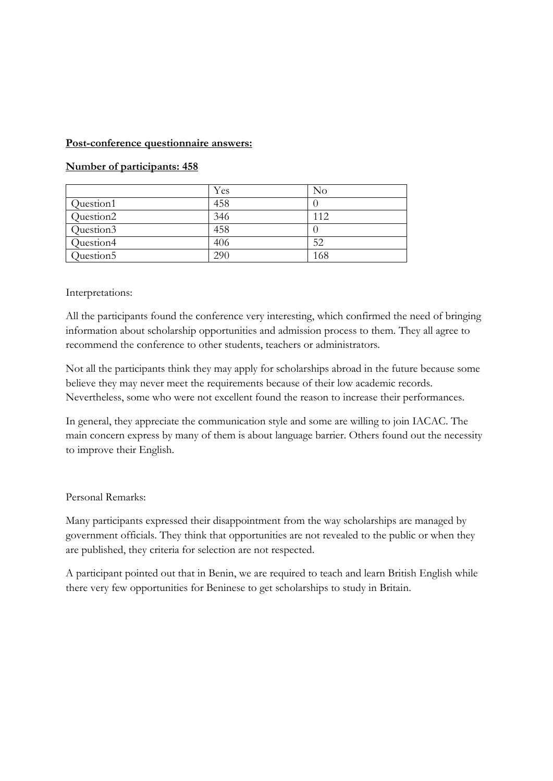#### **Post-conference questionnaire answers:**

|           | Yes | $\rm No$ |
|-----------|-----|----------|
| Question1 | 458 |          |
| Question2 | 346 | 112      |
| Question3 | 458 |          |
| Question4 | 406 | 52       |
| Question5 | 290 | 168      |

## **Number of participants: 458**

#### Interpretations:

All the participants found the conference very interesting, which confirmed the need of bringing information about scholarship opportunities and admission process to them. They all agree to recommend the conference to other students, teachers or administrators.

Not all the participants think they may apply for scholarships abroad in the future because some believe they may never meet the requirements because of their low academic records. Nevertheless, some who were not excellent found the reason to increase their performances.

In general, they appreciate the communication style and some are willing to join IACAC. The main concern express by many of them is about language barrier. Others found out the necessity to improve their English.

## Personal Remarks:

Many participants expressed their disappointment from the way scholarships are managed by government officials. They think that opportunities are not revealed to the public or when they are published, they criteria for selection are not respected.

A participant pointed out that in Benin, we are required to teach and learn British English while there very few opportunities for Beninese to get scholarships to study in Britain.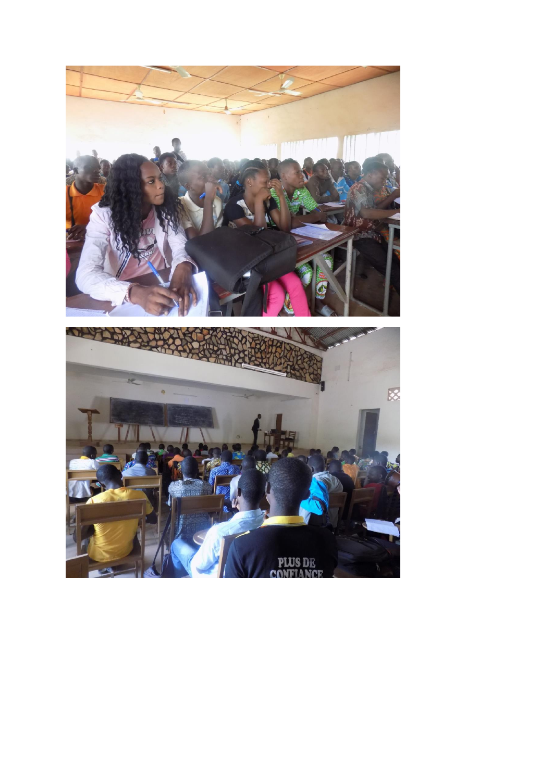